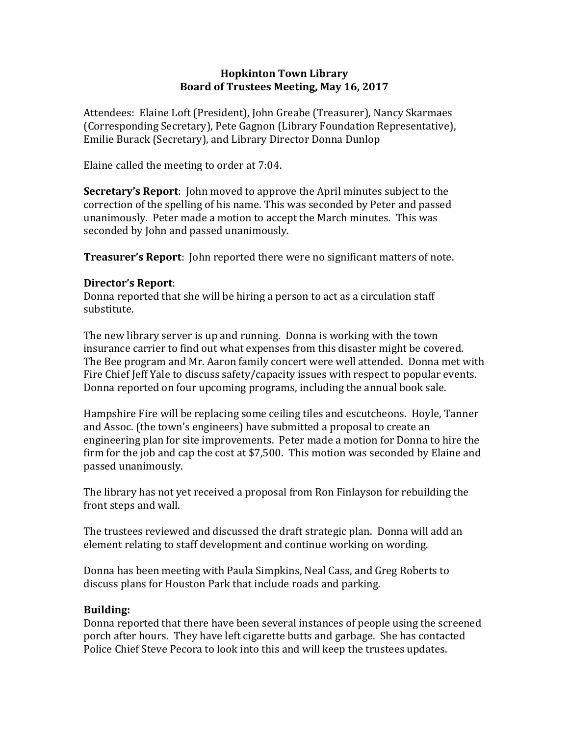## **Hopkinton Town Library Board of Trustees Meeting, May 16, 2017**

Attendees: Elaine Loft (President), John Greabe (Treasurer), Nancy Skarmaes (Corresponding Secretary), Pete Gagnon (Library Foundation Representative), Emilie Burack (Secretary), and Library Director Donna Dunlop

Elaine called the meeting to order at 7:04.

**Secretary's Report**: John moved to approve the April minutes subject to the correction of the spelling of his name. This was seconded by Peter and passed unanimously. Peter made a motion to accept the March minutes. This was seconded by John and passed unanimously.

**Treasurer's Report**: John reported there were no significant matters of note.

## **Director's Report**:

Donna reported that she will be hiring a person to act as a circulation staff substitute.

The new library server is up and running. Donna is working with the town insurance carrier to find out what expenses from this disaster might be covered. The Bee program and Mr. Aaron family concert were well attended. Donna met with Fire Chief Jeff Yale to discuss safety/capacity issues with respect to popular events. Donna reported on four upcoming programs, including the annual book sale.

Hampshire Fire will be replacing some ceiling tiles and escutcheons. Hoyle, Tanner and Assoc. (the town's engineers) have submitted a proposal to create an engineering plan for site improvements. Peter made a motion for Donna to hire the firm for the job and cap the cost at \$7,500. This motion was seconded by Elaine and passed unanimously.

The library has not yet received a proposal from Ron Finlayson for rebuilding the front steps and wall.

The trustees reviewed and discussed the draft strategic plan. Donna will add an element relating to staff development and continue working on wording.

Donna has been meeting with Paula Simpkins, Neal Cass, and Greg Roberts to discuss plans for Houston Park that include roads and parking.

## **Building:**

Donna reported that there have been several instances of people using the screened porch after hours. They have left cigarette butts and garbage. She has contacted Police Chief Steve Pecora to look into this and will keep the trustees updates.